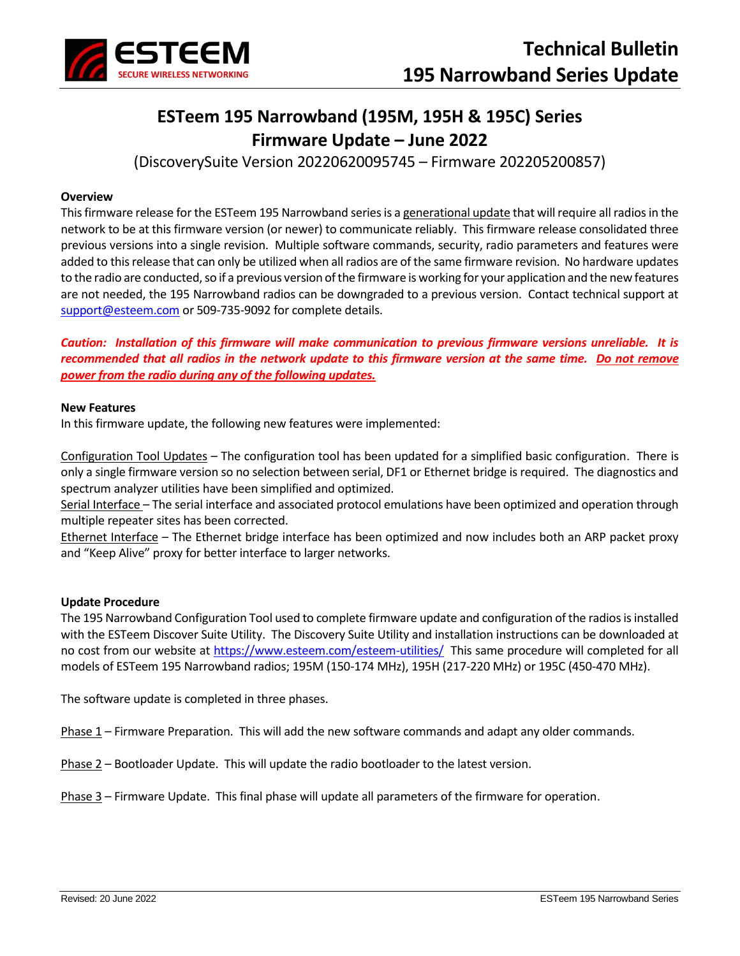

# **ESTeem 195 Narrowband (195M, 195H & 195C) Series Firmware Update – June 2022**

(DiscoverySuite Version 20220620095745 – Firmware 202205200857)

# **Overview**

This firmware release for the ESTeem 195 Narrowband series is a generational update that will require all radios in the network to be at this firmware version (or newer) to communicate reliably. This firmware release consolidated three previous versions into a single revision. Multiple software commands, security, radio parameters and features were added to this release that can only be utilized when all radios are of the same firmware revision. No hardware updates to the radio are conducted, so if a previous version of the firmware is working for your application and the new features are not needed, the 195 Narrowband radios can be downgraded to a previous version. Contact technical support at [support@esteem.com](mailto:support@esteem.com) or 509-735-9092 for complete details.

*Caution: Installation of this firmware will make communication to previous firmware versions unreliable. It is recommended that all radios in the network update to this firmware version at the same time. Do not remove power from the radio during any of the following updates.*

# **New Features**

In this firmware update, the following new features were implemented:

Configuration Tool Updates – The configuration tool has been updated for a simplified basic configuration. There is only a single firmware version so no selection between serial, DF1 or Ethernet bridge is required. The diagnostics and spectrum analyzer utilities have been simplified and optimized.

Serial Interface – The serial interface and associated protocol emulations have been optimized and operation through multiple repeater sites has been corrected.

Ethernet Interface – The Ethernet bridge interface has been optimized and now includes both an ARP packet proxy and "Keep Alive" proxy for better interface to larger networks.

### **Update Procedure**

The 195 Narrowband Configuration Tool used to complete firmware update and configuration of the radios is installed with the ESTeem Discover Suite Utility. The Discovery Suite Utility and installation instructions can be downloaded at no cost from our website at<https://www.esteem.com/esteem-utilities/>This same procedure will completed for all models of ESTeem 195 Narrowband radios; 195M (150-174 MHz), 195H (217-220 MHz) or 195C (450-470 MHz).

The software update is completed in three phases.

Phase 1 – Firmware Preparation. This will add the new software commands and adapt any older commands.

Phase 2 – Bootloader Update. This will update the radio bootloader to the latest version.

Phase 3 – Firmware Update. This final phase will update all parameters of the firmware for operation.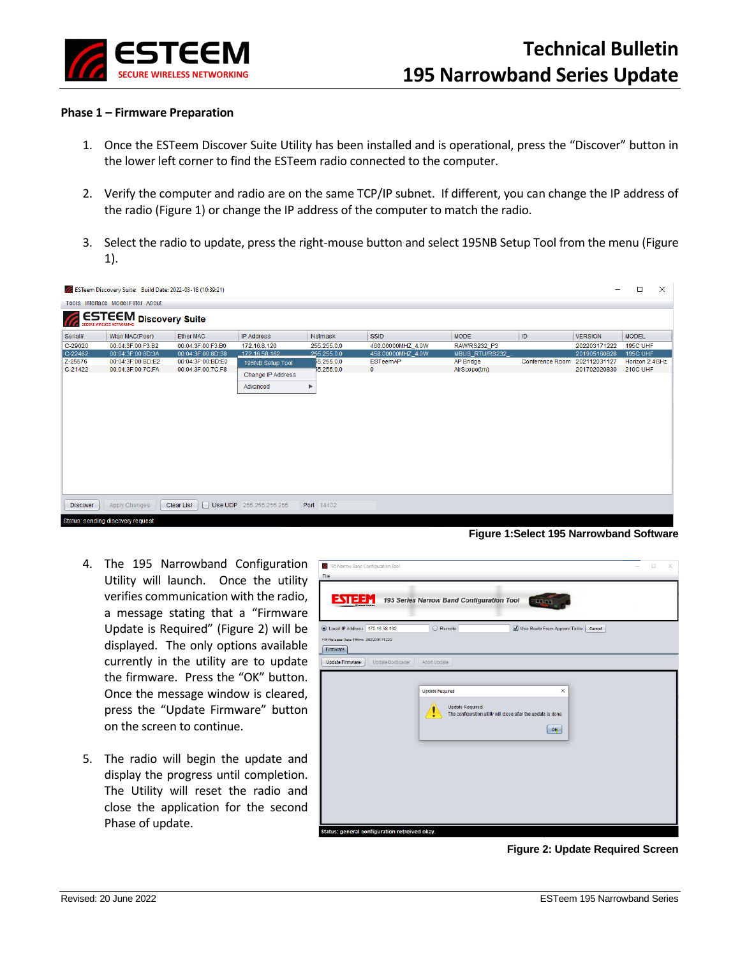

### **Phase 1 – Firmware Preparation**

- 1. Once the ESTeem Discover Suite Utility has been installed and is operational, press the "Discover" button in the lower left corner to find the ESTeem radio connected to the computer.
- 2. Verify the computer and radio are on the same TCP/IP subnet. If different, you can change the IP address of the radio (Figure 1) or change the IP address of the computer to match the radio.
- 3. Select the radio to update, press the right-mouse button and select 195NB Setup Tool from the menu (Figure 1).

|                                    | ESTeem Discovery Suite: Build Date: 2022-03-18 (10:39:21) |                   |                         |                |                   |                |                        |                | $\Box$          | $\times$ |  |  |  |
|------------------------------------|-----------------------------------------------------------|-------------------|-------------------------|----------------|-------------------|----------------|------------------------|----------------|-----------------|----------|--|--|--|
| Tools Interface Model Filter About |                                                           |                   |                         |                |                   |                |                        |                |                 |          |  |  |  |
| ESTEEM Discovery Suite<br>(Tr.     |                                                           |                   |                         |                |                   |                |                        |                |                 |          |  |  |  |
| Serial#                            | Wlan MAC(Peer)                                            | Ether MAC         | <b>IP Address</b>       | <b>Netmask</b> | <b>SSID</b>       | <b>MODE</b>    | ID                     | <b>VERSION</b> | <b>MODEL</b>    |          |  |  |  |
| C-29020                            | 00:04:3F:00:F3:B2                                         | 00:04:3F:00:F3:B0 | 172.16.8.120            | 255.255.0.0    | 460.00000MHZ_4.0W | RAW/RS232_P3   |                        | 202203171222   | 195C UHF        |          |  |  |  |
| $C-22462$                          | 00:04:3F:00:8D:3A                                         | 00:04:3F:00:8D:38 | 172 16 58 162           | 255,255.0.0    | 458.00000MHZ_4.0W | MBUS_RTU/RS232 |                        | 201905160828   | <b>195C UHF</b> |          |  |  |  |
| Z-25576                            | 00:04:3F:00:BD:E2                                         | 00:04:3F:00:BD:E0 | 195NB Setup Tool        | 55.255.0.0     | ESTeemAP          | AP Bridge      | <b>Conference Room</b> | 202112031127   | Horizon 2.4GHz  |          |  |  |  |
| C-21422                            | 00:04:3F:00:7C:FA                                         | 00:04:3F:00:7C:F8 | Change IP Address       | 55.255.0.0     | $\mathbf{0}$      | AirScope(tm)   |                        | 201702020830   | 210C UHF        |          |  |  |  |
|                                    |                                                           |                   | Advanced                | ▶              |                   |                |                        |                |                 |          |  |  |  |
| <b>Discover</b>                    | Apply Changes                                             | <b>Clear List</b> | Use UDP 255.255.255.255 | Port 14402     |                   |                |                        |                |                 |          |  |  |  |
|                                    | Status: sending discovery request                         |                   |                         |                |                   |                |                        |                |                 |          |  |  |  |

**Figure 1:Select 195 Narrowband Software**

- 4. The 195 Narrowband Configuration Utility will launch. Once the utility verifies communication with the radio, a message stating that a "Firmware Update is Required" (Figure 2) will be displayed. The only options available currently in the utility are to update the firmware. Press the "OK" button. Once the message window is cleared, press the "Update Firmware" button on the screen to continue.
- 5. The radio will begin the update and display the progress until completion. The Utility will reset the radio and close the application for the second Phase of update.



**Figure 2: Update Required Screen**